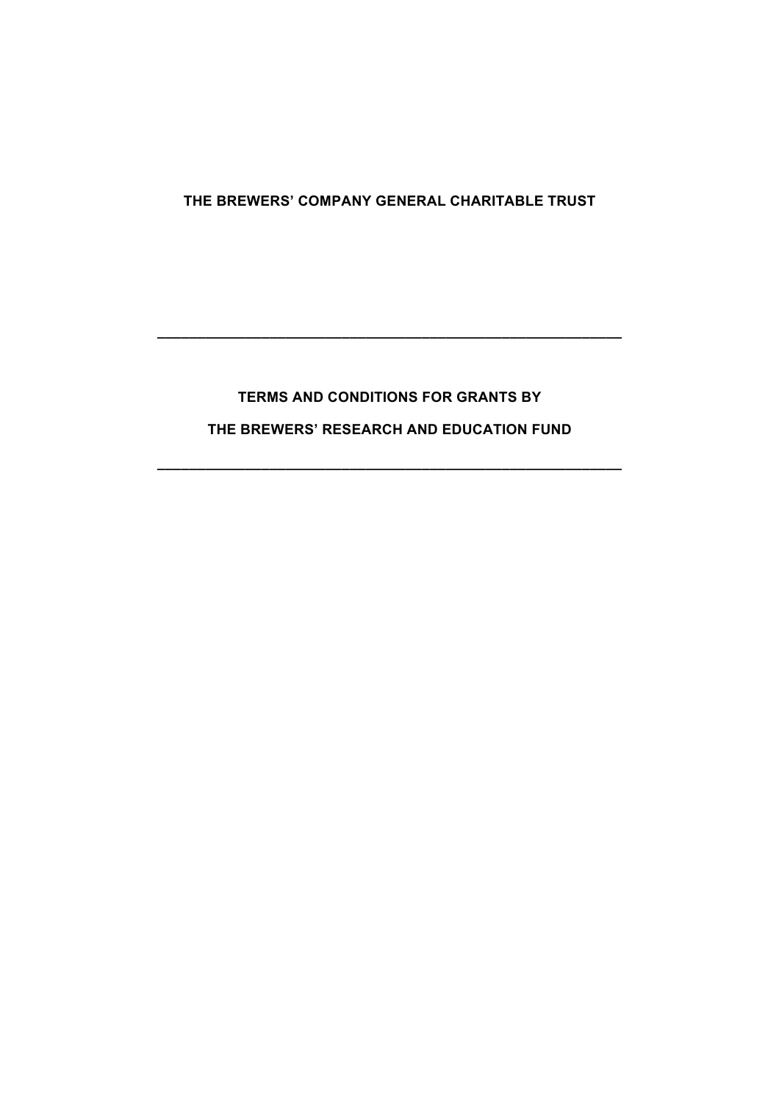# **THE BREWERS' COMPANY GENERAL CHARITABLE TRUST**

# **TERMS AND CONDITIONS FOR GRANTS BY THE BREWERS' RESEARCH AND EDUCATION FUND**

**\_\_\_\_\_\_\_\_\_\_\_\_\_\_\_\_\_\_\_\_\_\_\_\_\_\_\_\_\_\_\_\_\_\_\_\_\_\_\_\_\_\_\_\_\_\_\_\_\_\_\_\_\_\_\_\_\_\_**

**\_\_\_\_\_\_\_\_\_\_\_\_\_\_\_\_\_\_\_\_\_\_\_\_\_\_\_\_\_\_\_\_\_\_\_\_\_\_\_\_\_\_\_\_\_\_\_\_\_\_\_\_\_\_\_\_\_\_**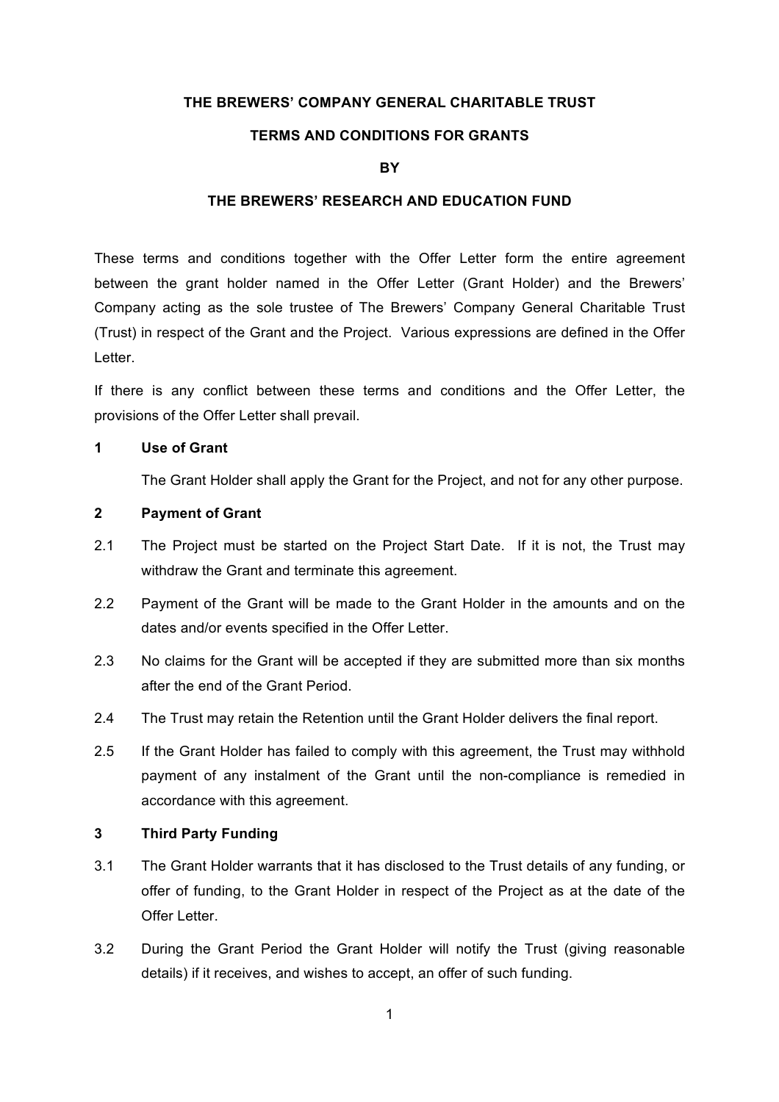#### **THE BREWERS' COMPANY GENERAL CHARITABLE TRUST**

# **TERMS AND CONDITIONS FOR GRANTS**

#### **BY**

#### **THE BREWERS' RESEARCH AND EDUCATION FUND**

These terms and conditions together with the Offer Letter form the entire agreement between the grant holder named in the Offer Letter (Grant Holder) and the Brewers' Company acting as the sole trustee of The Brewers' Company General Charitable Trust (Trust) in respect of the Grant and the Project. Various expressions are defined in the Offer Letter.

If there is any conflict between these terms and conditions and the Offer Letter, the provisions of the Offer Letter shall prevail.

#### **1 Use of Grant**

The Grant Holder shall apply the Grant for the Project, and not for any other purpose.

#### **2 Payment of Grant**

- 2.1 The Project must be started on the Project Start Date. If it is not, the Trust may withdraw the Grant and terminate this agreement.
- 2.2 Payment of the Grant will be made to the Grant Holder in the amounts and on the dates and/or events specified in the Offer Letter.
- 2.3 No claims for the Grant will be accepted if they are submitted more than six months after the end of the Grant Period.
- 2.4 The Trust may retain the Retention until the Grant Holder delivers the final report.
- 2.5 If the Grant Holder has failed to comply with this agreement, the Trust may withhold payment of any instalment of the Grant until the non-compliance is remedied in accordance with this agreement.

#### **3 Third Party Funding**

- 3.1 The Grant Holder warrants that it has disclosed to the Trust details of any funding, or offer of funding, to the Grant Holder in respect of the Project as at the date of the Offer Letter.
- 3.2 During the Grant Period the Grant Holder will notify the Trust (giving reasonable details) if it receives, and wishes to accept, an offer of such funding.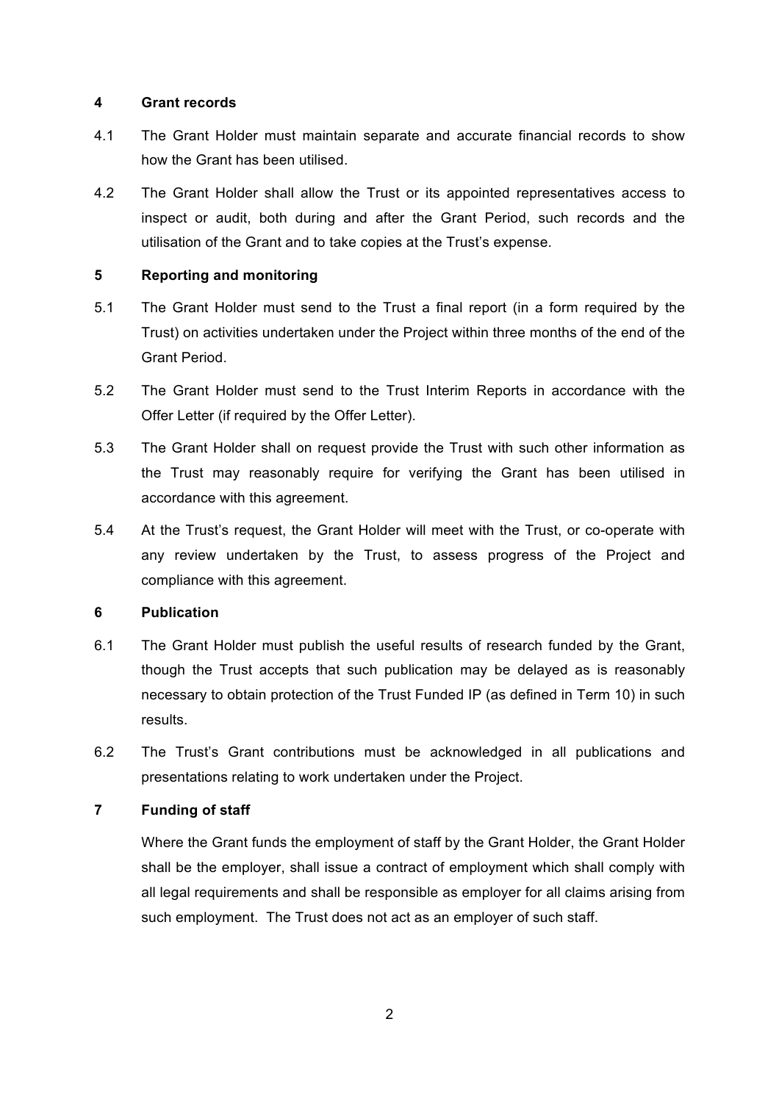#### **4 Grant records**

- 4.1 The Grant Holder must maintain separate and accurate financial records to show how the Grant has been utilised.
- 4.2 The Grant Holder shall allow the Trust or its appointed representatives access to inspect or audit, both during and after the Grant Period, such records and the utilisation of the Grant and to take copies at the Trust's expense.

# **5 Reporting and monitoring**

- 5.1 The Grant Holder must send to the Trust a final report (in a form required by the Trust) on activities undertaken under the Project within three months of the end of the Grant Period.
- 5.2 The Grant Holder must send to the Trust Interim Reports in accordance with the Offer Letter (if required by the Offer Letter).
- 5.3 The Grant Holder shall on request provide the Trust with such other information as the Trust may reasonably require for verifying the Grant has been utilised in accordance with this agreement.
- 5.4 At the Trust's request, the Grant Holder will meet with the Trust, or co-operate with any review undertaken by the Trust, to assess progress of the Project and compliance with this agreement.

# **6 Publication**

- 6.1 The Grant Holder must publish the useful results of research funded by the Grant, though the Trust accepts that such publication may be delayed as is reasonably necessary to obtain protection of the Trust Funded IP (as defined in Term 10) in such results.
- 6.2 The Trust's Grant contributions must be acknowledged in all publications and presentations relating to work undertaken under the Project.

# **7 Funding of staff**

Where the Grant funds the employment of staff by the Grant Holder, the Grant Holder shall be the employer, shall issue a contract of employment which shall comply with all legal requirements and shall be responsible as employer for all claims arising from such employment. The Trust does not act as an employer of such staff.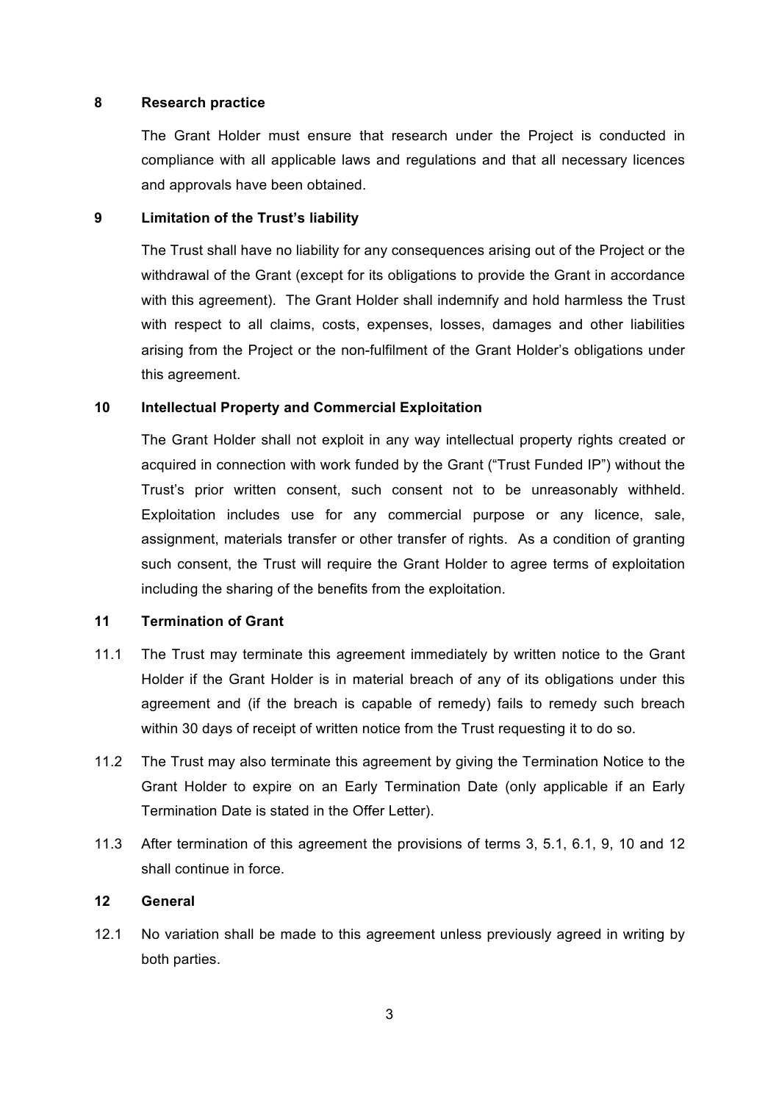#### **8 Research practice**

The Grant Holder must ensure that research under the Project is conducted in compliance with all applicable laws and regulations and that all necessary licences and approvals have been obtained.

### **9 Limitation of the Trust's liability**

The Trust shall have no liability for any consequences arising out of the Project or the withdrawal of the Grant (except for its obligations to provide the Grant in accordance with this agreement). The Grant Holder shall indemnify and hold harmless the Trust with respect to all claims, costs, expenses, losses, damages and other liabilities arising from the Project or the non-fulfilment of the Grant Holder's obligations under this agreement.

# **10 Intellectual Property and Commercial Exploitation**

The Grant Holder shall not exploit in any way intellectual property rights created or acquired in connection with work funded by the Grant ("Trust Funded IP") without the Trust's prior written consent, such consent not to be unreasonably withheld. Exploitation includes use for any commercial purpose or any licence, sale, assignment, materials transfer or other transfer of rights. As a condition of granting such consent, the Trust will require the Grant Holder to agree terms of exploitation including the sharing of the benefits from the exploitation.

# **11 Termination of Grant**

- 11.1 The Trust may terminate this agreement immediately by written notice to the Grant Holder if the Grant Holder is in material breach of any of its obligations under this agreement and (if the breach is capable of remedy) fails to remedy such breach within 30 days of receipt of written notice from the Trust requesting it to do so.
- 11.2 The Trust may also terminate this agreement by giving the Termination Notice to the Grant Holder to expire on an Early Termination Date (only applicable if an Early Termination Date is stated in the Offer Letter).
- 11.3 After termination of this agreement the provisions of terms 3, 5.1, 6.1, 9, 10 and 12 shall continue in force.

# **12 General**

12.1 No variation shall be made to this agreement unless previously agreed in writing by both parties.